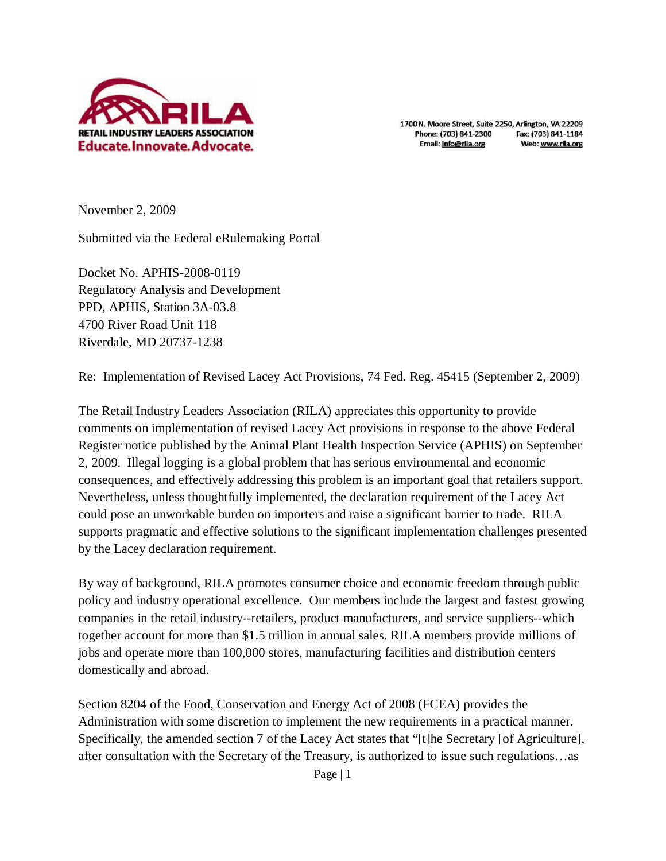

1700 N. Moore Street, Suite 2250, Arlington, VA 22209 Phone: (703) 841-2300 Fax: (703) 841-1184 Email: info@rila.org Web: www.rila.org

November 2, 2009

Submitted via the Federal eRulemaking Portal

Docket No. APHIS-2008-0119 Regulatory Analysis and Development PPD, APHIS, Station 3A-03.8 4700 River Road Unit 118 Riverdale, MD 20737-1238

Re: Implementation of Revised Lacey Act Provisions, 74 Fed. Reg. 45415 (September 2, 2009)

The Retail Industry Leaders Association (RILA) appreciates this opportunity to provide comments on implementation of revised Lacey Act provisions in response to the above Federal Register notice published by the Animal Plant Health Inspection Service (APHIS) on September 2, 2009. Illegal logging is a global problem that has serious environmental and economic consequences, and effectively addressing this problem is an important goal that retailers support. Nevertheless, unless thoughtfully implemented, the declaration requirement of the Lacey Act could pose an unworkable burden on importers and raise a significant barrier to trade. RILA supports pragmatic and effective solutions to the significant implementation challenges presented by the Lacey declaration requirement.

By way of background, RILA promotes consumer choice and economic freedom through public policy and industry operational excellence. Our members include the largest and fastest growing companies in the retail industry--retailers, product manufacturers, and service suppliers--which together account for more than \$1.5 trillion in annual sales. RILA members provide millions of jobs and operate more than 100,000 stores, manufacturing facilities and distribution centers domestically and abroad.

Section 8204 of the Food, Conservation and Energy Act of 2008 (FCEA) provides the Administration with some discretion to implement the new requirements in a practical manner. Specifically, the amended section 7 of the Lacey Act states that "[t]he Secretary [of Agriculture], after consultation with the Secretary of the Treasury, is authorized to issue such regulations…as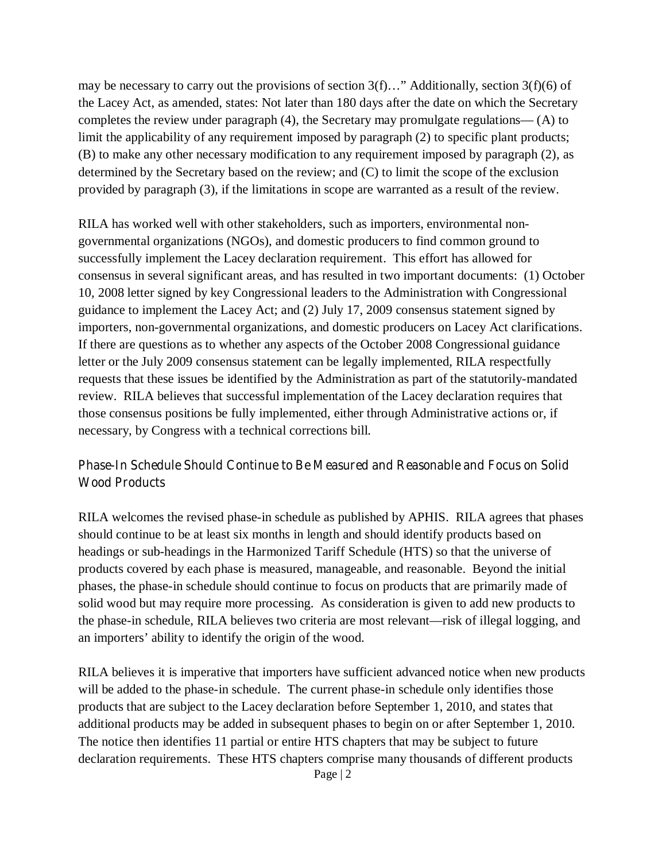may be necessary to carry out the provisions of section  $3(f)$ …" Additionally, section  $3(f)(6)$  of the Lacey Act, as amended, states: Not later than 180 days after the date on which the Secretary completes the review under paragraph (4), the Secretary may promulgate regulations— (A) to limit the applicability of any requirement imposed by paragraph (2) to specific plant products; (B) to make any other necessary modification to any requirement imposed by paragraph (2), as determined by the Secretary based on the review; and (C) to limit the scope of the exclusion provided by paragraph (3), if the limitations in scope are warranted as a result of the review.

RILA has worked well with other stakeholders, such as importers, environmental nongovernmental organizations (NGOs), and domestic producers to find common ground to successfully implement the Lacey declaration requirement. This effort has allowed for consensus in several significant areas, and has resulted in two important documents: (1) October 10, 2008 letter signed by key Congressional leaders to the Administration with Congressional guidance to implement the Lacey Act; and (2) July 17, 2009 consensus statement signed by importers, non-governmental organizations, and domestic producers on Lacey Act clarifications. If there are questions as to whether any aspects of the October 2008 Congressional guidance letter or the July 2009 consensus statement can be legally implemented, RILA respectfully requests that these issues be identified by the Administration as part of the statutorily-mandated review. RILA believes that successful implementation of the Lacey declaration requires that those consensus positions be fully implemented, either through Administrative actions or, if necessary, by Congress with a technical corrections bill.

## **Phase-In Schedule Should Continue to Be Measured and Reasonable and Focus on Solid Wood Products**

RILA welcomes the revised phase-in schedule as published by APHIS. RILA agrees that phases should continue to be at least six months in length and should identify products based on headings or sub-headings in the Harmonized Tariff Schedule (HTS) so that the universe of products covered by each phase is measured, manageable, and reasonable. Beyond the initial phases, the phase-in schedule should continue to focus on products that are primarily made of solid wood but may require more processing. As consideration is given to add new products to the phase-in schedule, RILA believes two criteria are most relevant—risk of illegal logging, and an importers' ability to identify the origin of the wood.

RILA believes it is imperative that importers have sufficient advanced notice when new products will be added to the phase-in schedule. The current phase-in schedule only identifies those products that are subject to the Lacey declaration before September 1, 2010, and states that additional products may be added in subsequent phases to begin on or after September 1, 2010. The notice then identifies 11 partial or entire HTS chapters that may be subject to future declaration requirements. These HTS chapters comprise many thousands of different products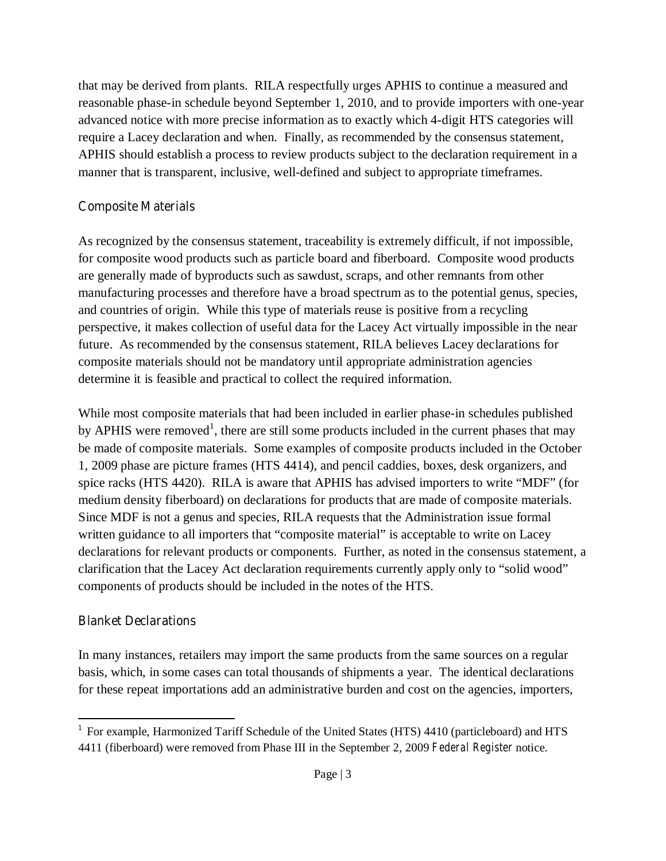that may be derived from plants. RILA respectfully urges APHIS to continue a measured and reasonable phase-in schedule beyond September 1, 2010, and to provide importers with one-year advanced notice with more precise information as to exactly which 4-digit HTS categories will require a Lacey declaration and when. Finally, as recommended by the consensus statement, APHIS should establish a process to review products subject to the declaration requirement in a manner that is transparent, inclusive, well-defined and subject to appropriate timeframes.

## **Composite Materials**

As recognized by the consensus statement, traceability is extremely difficult, if not impossible, for composite wood products such as particle board and fiberboard. Composite wood products are generally made of byproducts such as sawdust, scraps, and other remnants from other manufacturing processes and therefore have a broad spectrum as to the potential genus, species, and countries of origin. While this type of materials reuse is positive from a recycling perspective, it makes collection of useful data for the Lacey Act virtually impossible in the near future. As recommended by the consensus statement, RILA believes Lacey declarations for composite materials should not be mandatory until appropriate administration agencies determine it is feasible and practical to collect the required information.

While most composite materials that had been included in earlier phase-in schedules published by APHIS were removed<sup>1</sup>, there are still some products included in the current phases that may be made of composite materials. Some examples of composite products included in the October 1, 2009 phase are picture frames (HTS 4414), and pencil caddies, boxes, desk organizers, and spice racks (HTS 4420). RILA is aware that APHIS has advised importers to write "MDF" (for medium density fiberboard) on declarations for products that are made of composite materials. Since MDF is not a genus and species, RILA requests that the Administration issue formal written guidance to all importers that "composite material" is acceptable to write on Lacey declarations for relevant products or components. Further, as noted in the consensus statement, a clarification that the Lacey Act declaration requirements currently apply only to "solid wood" components of products should be included in the notes of the HTS.

## **Blanket Declarations**

In many instances, retailers may import the same products from the same sources on a regular basis, which, in some cases can total thousands of shipments a year. The identical declarations for these repeat importations add an administrative burden and cost on the agencies, importers,

 $\overline{\phantom{a}}$ <sup>1</sup> For example, Harmonized Tariff Schedule of the United States (HTS) 4410 (particleboard) and HTS 4411 (fiberboard) were removed from Phase III in the September 2, 2009 *Federal Register* notice.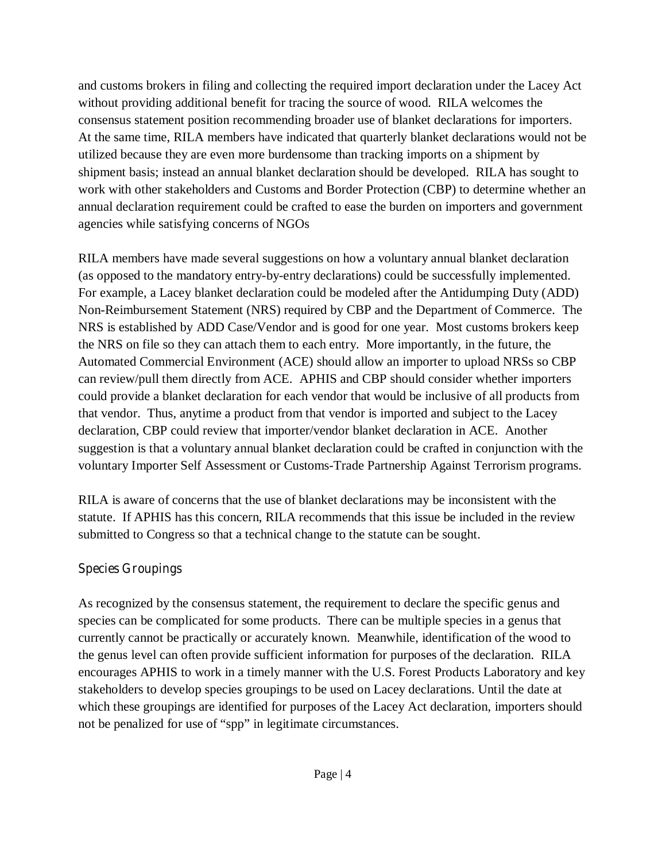and customs brokers in filing and collecting the required import declaration under the Lacey Act without providing additional benefit for tracing the source of wood. RILA welcomes the consensus statement position recommending broader use of blanket declarations for importers. At the same time, RILA members have indicated that quarterly blanket declarations would not be utilized because they are even more burdensome than tracking imports on a shipment by shipment basis; instead an annual blanket declaration should be developed. RILA has sought to work with other stakeholders and Customs and Border Protection (CBP) to determine whether an annual declaration requirement could be crafted to ease the burden on importers and government agencies while satisfying concerns of NGOs

RILA members have made several suggestions on how a voluntary annual blanket declaration (as opposed to the mandatory entry-by-entry declarations) could be successfully implemented. For example, a Lacey blanket declaration could be modeled after the Antidumping Duty (ADD) Non-Reimbursement Statement (NRS) required by CBP and the Department of Commerce. The NRS is established by ADD Case/Vendor and is good for one year. Most customs brokers keep the NRS on file so they can attach them to each entry. More importantly, in the future, the Automated Commercial Environment (ACE) should allow an importer to upload NRSs so CBP can review/pull them directly from ACE. APHIS and CBP should consider whether importers could provide a blanket declaration for each vendor that would be inclusive of all products from that vendor. Thus, anytime a product from that vendor is imported and subject to the Lacey declaration, CBP could review that importer/vendor blanket declaration in ACE. Another suggestion is that a voluntary annual blanket declaration could be crafted in conjunction with the voluntary Importer Self Assessment or Customs-Trade Partnership Against Terrorism programs.

RILA is aware of concerns that the use of blanket declarations may be inconsistent with the statute. If APHIS has this concern, RILA recommends that this issue be included in the review submitted to Congress so that a technical change to the statute can be sought.

## **Species Groupings**

As recognized by the consensus statement, the requirement to declare the specific genus and species can be complicated for some products. There can be multiple species in a genus that currently cannot be practically or accurately known. Meanwhile, identification of the wood to the genus level can often provide sufficient information for purposes of the declaration. RILA encourages APHIS to work in a timely manner with the U.S. Forest Products Laboratory and key stakeholders to develop species groupings to be used on Lacey declarations. Until the date at which these groupings are identified for purposes of the Lacey Act declaration, importers should not be penalized for use of "spp" in legitimate circumstances.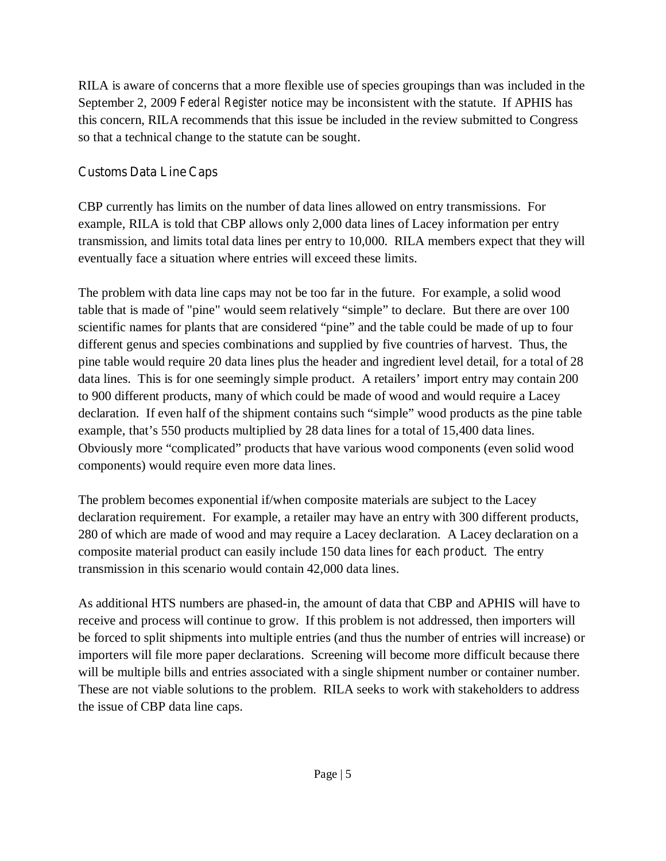RILA is aware of concerns that a more flexible use of species groupings than was included in the September 2, 2009 *Federal Register* notice may be inconsistent with the statute. If APHIS has this concern, RILA recommends that this issue be included in the review submitted to Congress so that a technical change to the statute can be sought.

## **Customs Data Line Caps**

CBP currently has limits on the number of data lines allowed on entry transmissions. For example, RILA is told that CBP allows only 2,000 data lines of Lacey information per entry transmission, and limits total data lines per entry to 10,000. RILA members expect that they will eventually face a situation where entries will exceed these limits.

The problem with data line caps may not be too far in the future. For example, a solid wood table that is made of "pine" would seem relatively "simple" to declare. But there are over 100 scientific names for plants that are considered "pine" and the table could be made of up to four different genus and species combinations and supplied by five countries of harvest. Thus, the pine table would require 20 data lines plus the header and ingredient level detail, for a total of 28 data lines. This is for one seemingly simple product. A retailers' import entry may contain 200 to 900 different products, many of which could be made of wood and would require a Lacey declaration. If even half of the shipment contains such "simple" wood products as the pine table example, that's 550 products multiplied by 28 data lines for a total of 15,400 data lines. Obviously more "complicated" products that have various wood components (even solid wood components) would require even more data lines.

The problem becomes exponential if/when composite materials are subject to the Lacey declaration requirement. For example, a retailer may have an entry with 300 different products, 280 of which are made of wood and may require a Lacey declaration. A Lacey declaration on a composite material product can easily include 150 data lines *for each product*. The entry transmission in this scenario would contain 42,000 data lines.

As additional HTS numbers are phased-in, the amount of data that CBP and APHIS will have to receive and process will continue to grow. If this problem is not addressed, then importers will be forced to split shipments into multiple entries (and thus the number of entries will increase) or importers will file more paper declarations. Screening will become more difficult because there will be multiple bills and entries associated with a single shipment number or container number. These are not viable solutions to the problem. RILA seeks to work with stakeholders to address the issue of CBP data line caps.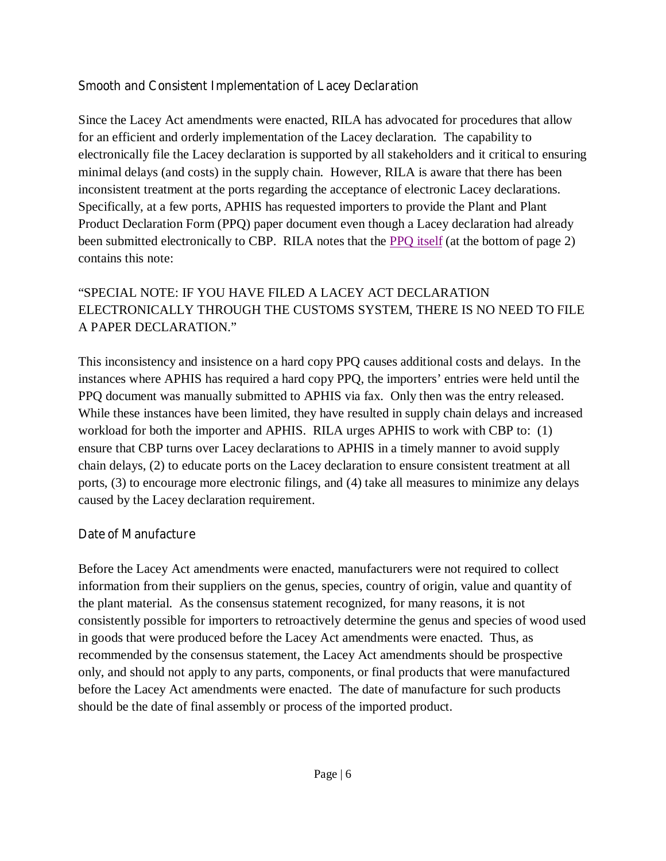## **Smooth and Consistent Implementation of Lacey Declaration**

Since the Lacey Act amendments were enacted, RILA has advocated for procedures that allow for an efficient and orderly implementation of the Lacey declaration. The capability to electronically file the Lacey declaration is supported by all stakeholders and it critical to ensuring minimal delays (and costs) in the supply chain. However, RILA is aware that there has been inconsistent treatment at the ports regarding the acceptance of electronic Lacey declarations. Specifically, at a few ports, APHIS has requested importers to provide the Plant and Plant Product Declaration Form (PPQ) paper document even though a Lacey declaration had already been submitted electronically to CBP. RILA notes that the **PPO** itself (at the bottom of page 2) contains this note:

# "SPECIAL NOTE: IF YOU HAVE FILED A LACEY ACT DECLARATION ELECTRONICALLY THROUGH THE CUSTOMS SYSTEM, THERE IS NO NEED TO FILE A PAPER DECLARATION."

This inconsistency and insistence on a hard copy PPQ causes additional costs and delays. In the instances where APHIS has required a hard copy PPQ, the importers' entries were held until the PPQ document was manually submitted to APHIS via fax. Only then was the entry released. While these instances have been limited, they have resulted in supply chain delays and increased workload for both the importer and APHIS. RILA urges APHIS to work with CBP to: (1) ensure that CBP turns over Lacey declarations to APHIS in a timely manner to avoid supply chain delays, (2) to educate ports on the Lacey declaration to ensure consistent treatment at all ports, (3) to encourage more electronic filings, and (4) take all measures to minimize any delays caused by the Lacey declaration requirement.

## **Date of Manufacture**

Before the Lacey Act amendments were enacted, manufacturers were not required to collect information from their suppliers on the genus, species, country of origin, value and quantity of the plant material. As the consensus statement recognized, for many reasons, it is not consistently possible for importers to retroactively determine the genus and species of wood used in goods that were produced before the Lacey Act amendments were enacted. Thus, as recommended by the consensus statement, the Lacey Act amendments should be prospective only, and should not apply to any parts, components, or final products that were manufactured before the Lacey Act amendments were enacted. The date of manufacture for such products should be the date of final assembly or process of the imported product.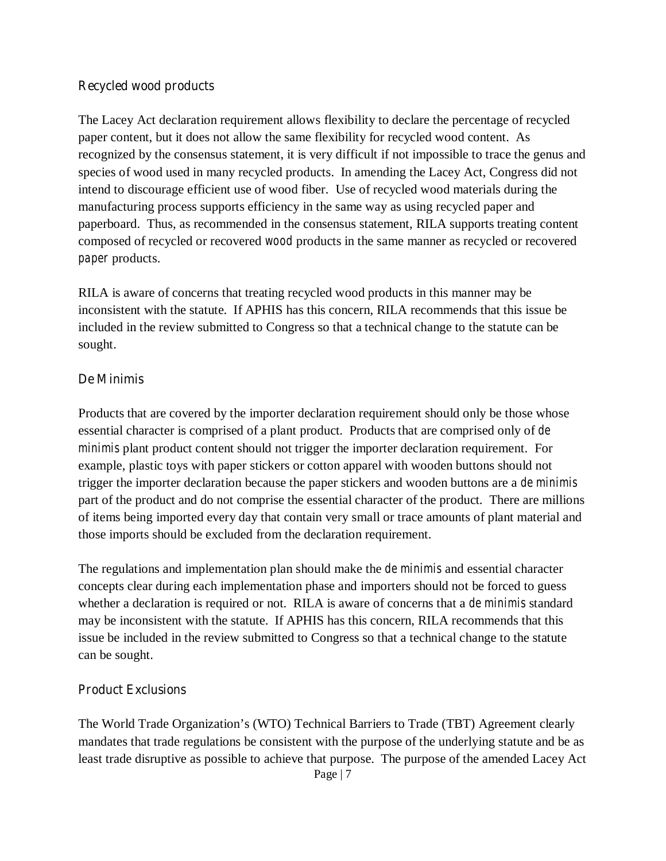#### **Recycled wood products**

The Lacey Act declaration requirement allows flexibility to declare the percentage of recycled paper content, but it does not allow the same flexibility for recycled wood content. As recognized by the consensus statement, it is very difficult if not impossible to trace the genus and species of wood used in many recycled products. In amending the Lacey Act, Congress did not intend to discourage efficient use of wood fiber. Use of recycled wood materials during the manufacturing process supports efficiency in the same way as using recycled paper and paperboard. Thus, as recommended in the consensus statement, RILA supports treating content composed of recycled or recovered *wood* products in the same manner as recycled or recovered *paper* products.

RILA is aware of concerns that treating recycled wood products in this manner may be inconsistent with the statute. If APHIS has this concern, RILA recommends that this issue be included in the review submitted to Congress so that a technical change to the statute can be sought.

#### **De Minimis**

Products that are covered by the importer declaration requirement should only be those whose essential character is comprised of a plant product. Products that are comprised only of *de minimis* plant product content should not trigger the importer declaration requirement. For example, plastic toys with paper stickers or cotton apparel with wooden buttons should not trigger the importer declaration because the paper stickers and wooden buttons are a *de minimis* part of the product and do not comprise the essential character of the product. There are millions of items being imported every day that contain very small or trace amounts of plant material and those imports should be excluded from the declaration requirement.

The regulations and implementation plan should make the *de minimis* and essential character concepts clear during each implementation phase and importers should not be forced to guess whether a declaration is required or not. RILA is aware of concerns that a *de minimis* standard may be inconsistent with the statute. If APHIS has this concern, RILA recommends that this issue be included in the review submitted to Congress so that a technical change to the statute can be sought.

#### **Product Exclusions**

The World Trade Organization's (WTO) Technical Barriers to Trade (TBT) Agreement clearly mandates that trade regulations be consistent with the purpose of the underlying statute and be as least trade disruptive as possible to achieve that purpose. The purpose of the amended Lacey Act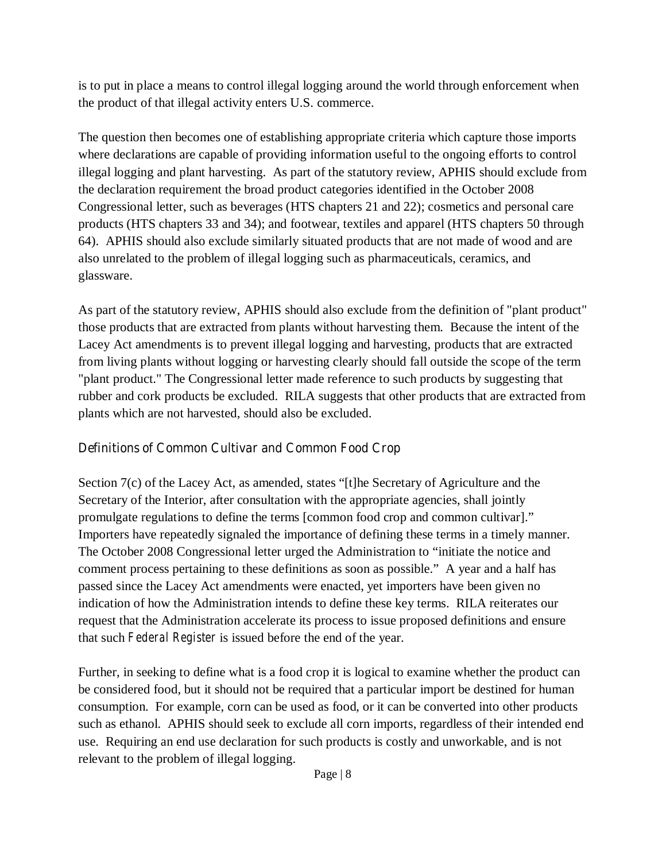is to put in place a means to control illegal logging around the world through enforcement when the product of that illegal activity enters U.S. commerce.

The question then becomes one of establishing appropriate criteria which capture those imports where declarations are capable of providing information useful to the ongoing efforts to control illegal logging and plant harvesting. As part of the statutory review, APHIS should exclude from the declaration requirement the broad product categories identified in the October 2008 Congressional letter, such as beverages (HTS chapters 21 and 22); cosmetics and personal care products (HTS chapters 33 and 34); and footwear, textiles and apparel (HTS chapters 50 through 64). APHIS should also exclude similarly situated products that are not made of wood and are also unrelated to the problem of illegal logging such as pharmaceuticals, ceramics, and glassware.

As part of the statutory review, APHIS should also exclude from the definition of "plant product" those products that are extracted from plants without harvesting them. Because the intent of the Lacey Act amendments is to prevent illegal logging and harvesting, products that are extracted from living plants without logging or harvesting clearly should fall outside the scope of the term "plant product." The Congressional letter made reference to such products by suggesting that rubber and cork products be excluded. RILA suggests that other products that are extracted from plants which are not harvested, should also be excluded.

## **Definitions of Common Cultivar and Common Food Crop**

Section 7(c) of the Lacey Act, as amended, states "[t]he Secretary of Agriculture and the Secretary of the Interior, after consultation with the appropriate agencies, shall jointly promulgate regulations to define the terms [common food crop and common cultivar]." Importers have repeatedly signaled the importance of defining these terms in a timely manner. The October 2008 Congressional letter urged the Administration to "initiate the notice and comment process pertaining to these definitions as soon as possible." A year and a half has passed since the Lacey Act amendments were enacted, yet importers have been given no indication of how the Administration intends to define these key terms. RILA reiterates our request that the Administration accelerate its process to issue proposed definitions and ensure that such *Federal Register* is issued before the end of the year.

Further, in seeking to define what is a food crop it is logical to examine whether the product can be considered food, but it should not be required that a particular import be destined for human consumption. For example, corn can be used as food, or it can be converted into other products such as ethanol. APHIS should seek to exclude all corn imports, regardless of their intended end use. Requiring an end use declaration for such products is costly and unworkable, and is not relevant to the problem of illegal logging.